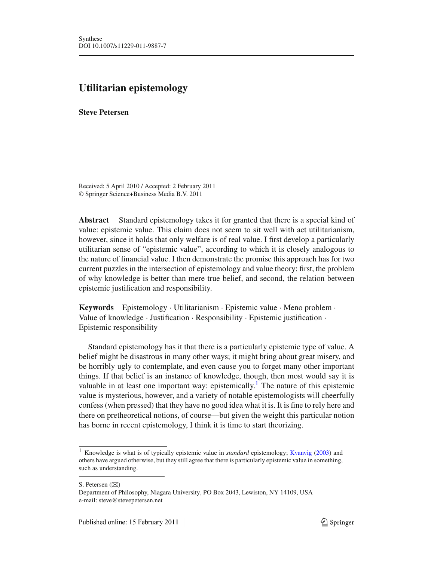# **Utilitarian epistemology**

**Steve Petersen**

Received: 5 April 2010 / Accepted: 2 February 2011 © Springer Science+Business Media B.V. 2011

**Abstract** Standard epistemology takes it for granted that there is a special kind of value: epistemic value. This claim does not seem to sit well with act utilitarianism, however, since it holds that only welfare is of real value. I first develop a particularly utilitarian sense of "epistemic value", according to which it is closely analogous to the nature of financial value. I then demonstrate the promise this approach has for two current puzzles in the intersection of epistemology and value theory: first, the problem of why knowledge is better than mere true belief, and second, the relation between epistemic justification and responsibility.

**Keywords** Epistemology · Utilitarianism · Epistemic value · Meno problem · Value of knowledge · Justification · Responsibility · Epistemic justification · Epistemic responsibility

Standard epistemology has it that there is a particularly epistemic type of value. A belief might be disastrous in many other ways; it might bring about great misery, and be horribly ugly to contemplate, and even cause you to forget many other important things. If that belief is an instance of knowledge, though, then most would say it is valuable in at least one important way: epistemically.<sup>1</sup> The nature of this epistemic value is mysterious, however, and a variety of notable epistemologists will cheerfully confess (when pressed) that they have no good idea what it is. It is fine to rely here and there on pretheoretical notions, of course—but given the weight this particular notion has borne in recent epistemology, I think it is time to start theorizing.

<sup>&</sup>lt;sup>1</sup> Knowledge is what is of typically epistemic value in *standard* epistemology; Kvanvig (2003) and others have argued otherwise, but they still agree that there is particularly epistemic value in something, such as understanding.

S. Petersen  $(\boxtimes)$ 

Department of Philosophy, Niagara University, PO Box 2043, Lewiston, NY 14109, USA e-mail: steve@stevepetersen.net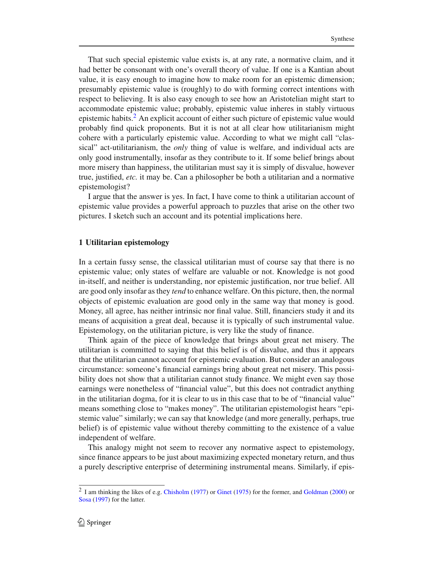That such special epistemic value exists is, at any rate, a normative claim, and it had better be consonant with one's overall theory of value. If one is a Kantian about value, it is easy enough to imagine how to make room for an epistemic dimension; presumably epistemic value is (roughly) to do with forming correct intentions with respect to believing. It is also easy enough to see how an Aristotelian might start to accommodate epistemic value; probably, epistemic value inheres in stably virtuous epistemic habits.<sup>2</sup> An explicit account of either such picture of epistemic value would probably find quick proponents. But it is not at all clear how utilitarianism might cohere with a particularly epistemic value. According to what we might call "classical" act-utilitarianism, the *only* thing of value is welfare, and individual acts are only good instrumentally, insofar as they contribute to it. If some belief brings about more misery than happiness, the utilitarian must say it is simply of disvalue, however true, justified, *etc.* it may be. Can a philosopher be both a utilitarian and a normative epistemologist?

I argue that the answer is yes. In fact, I have come to think a utilitarian account of epistemic value provides a powerful approach to puzzles that arise on the other two pictures. I sketch such an account and its potential implications here.

## **1 Utilitarian epistemology**

In a certain fussy sense, the classical utilitarian must of course say that there is no epistemic value; only states of welfare are valuable or not. Knowledge is not good in-itself, and neither is understanding, nor epistemic justification, nor true belief. All are good only insofar as they *tend* to enhance welfare. On this picture, then, the normal objects of epistemic evaluation are good only in the same way that money is good. Money, all agree, has neither intrinsic nor final value. Still, financiers study it and its means of acquisition a great deal, because it is typically of such instrumental value. Epistemology, on the utilitarian picture, is very like the study of finance.

Think again of the piece of knowledge that brings about great net misery. The utilitarian is committed to saying that this belief is of disvalue, and thus it appears that the utilitarian cannot account for epistemic evaluation. But consider an analogous circumstance: someone's financial earnings bring about great net misery. This possibility does not show that a utilitarian cannot study finance. We might even say those earnings were nonetheless of "financial value", but this does not contradict anything in the utilitarian dogma, for it is clear to us in this case that to be of "financial value" means something close to "makes money". The utilitarian epistemologist hears "epistemic value" similarly; we can say that knowledge (and more generally, perhaps, true belief) is of epistemic value without thereby committing to the existence of a value independent of welfare.

This analogy might not seem to recover any normative aspect to epistemology, since finance appears to be just about maximizing expected monetary return, and thus a purely descriptive enterprise of determining instrumental means. Similarly, if epis-

<sup>&</sup>lt;sup>2</sup> I am thinking the likes of e.g. Chisholm (1977) or Ginet (1975) for the former, and Goldman (2000) or Sosa (1997) for the latter.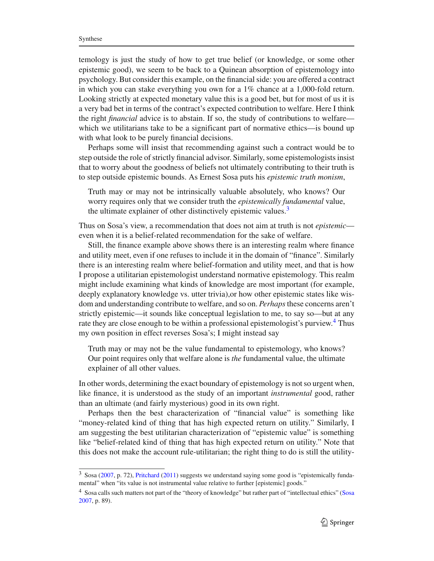temology is just the study of how to get true belief (or knowledge, or some other epistemic good), we seem to be back to a Quinean absorption of epistemology into psychology. But consider this example, on the financial side: you are offered a contract in which you can stake everything you own for a 1% chance at a 1,000-fold return. Looking strictly at expected monetary value this is a good bet, but for most of us it is a very bad bet in terms of the contract's expected contribution to welfare. Here I think the right *financial* advice is to abstain. If so, the study of contributions to welfare which we utilitarians take to be a significant part of normative ethics—is bound up with what look to be purely financial decisions.

Perhaps some will insist that recommending against such a contract would be to step outside the role of strictly financial advisor. Similarly, some epistemologists insist that to worry about the goodness of beliefs not ultimately contributing to their truth is to step outside epistemic bounds. As Ernest Sosa puts his *epistemic truth monism*,

Truth may or may not be intrinsically valuable absolutely, who knows? Our worry requires only that we consider truth the *epistemically fundamental* value, the ultimate explainer of other distinctively epistemic values. $3$ 

Thus on Sosa's view, a recommendation that does not aim at truth is not *epistemic* even when it is a belief-related recommendation for the sake of welfare.

Still, the finance example above shows there is an interesting realm where finance and utility meet, even if one refuses to include it in the domain of "finance". Similarly there is an interesting realm where belief-formation and utility meet, and that is how I propose a utilitarian epistemologist understand normative epistemology. This realm might include examining what kinds of knowledge are most important (for example, deeply explanatory knowledge vs. utter trivia),or how other epistemic states like wisdom and understanding contribute to welfare, and so on. *Perhaps*these concerns aren't strictly epistemic—it sounds like conceptual legislation to me, to say so—but at any rate they are close enough to be within a professional epistemologist's purview.<sup>4</sup> Thus my own position in effect reverses Sosa's; I might instead say

Truth may or may not be the value fundamental to epistemology, who knows? Our point requires only that welfare alone is *the* fundamental value, the ultimate explainer of all other values.

In other words, determining the exact boundary of epistemology is not so urgent when, like finance, it is understood as the study of an important *instrumental* good, rather than an ultimate (and fairly mysterious) good in its own right.

Perhaps then the best characterization of "financial value" is something like "money-related kind of thing that has high expected return on utility." Similarly, I am suggesting the best utilitarian characterization of "epistemic value" is something like "belief-related kind of thing that has high expected return on utility." Note that this does not make the account rule-utilitarian; the right thing to do is still the utility-

<sup>3</sup> Sosa (2007, p. 72), Pritchard (2011) suggests we understand saying some good is "epistemically fundamental" when "its value is not instrumental value relative to further [epistemic] goods."

<sup>4</sup> Sosa calls such matters not part of the "theory of knowledge" but rather part of "intellectual ethics" (Sosa 2007, p. 89).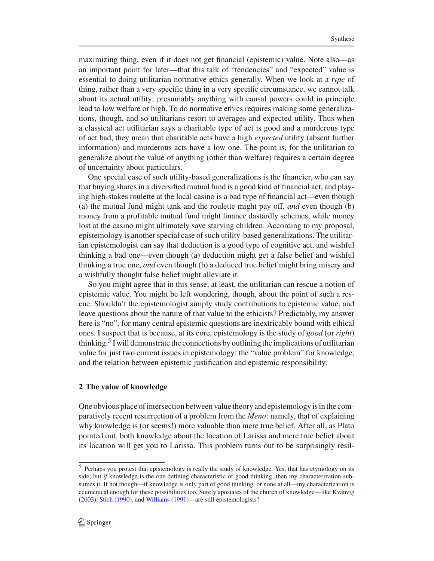maximizing thing, even if it does not get financial (epistemic) value. Note also—as an important point for later—that this talk of "tendencies" and "expected" value is essential to doing utilitarian normative ethics generally. When we look at a *type* of thing, rather than a very specific thing in a very specific circumstance, we cannot talk about its actual utility; presumably anything with causal powers could in principle lead to low welfare or high. To do normative ethics requires making some generalizations, though, and so utilitarians resort to averages and expected utility. Thus when a classical act utilitarian says a charitable type of act is good and a murderous type of act bad, they mean that charitable acts have a high *expected* utility (absent further information) and murderous acts have a low one. The point is, for the utilitarian to generalize about the value of anything (other than welfare) requires a certain degree of uncertainty about particulars.

One special case of such utility-based generalizations is the financier, who can say that buying shares in a diversified mutual fund is a good kind of financial act, and playing high-stakes roulette at the local casino is a bad type of financial act—even though (a) the mutual fund might tank and the roulette might pay off, *and* even though (b) money from a profitable mutual fund might finance dastardly schemes, while money lost at the casino might ultimately save starving children. According to my proposal, epistemology is another special case of such utility-based generalizations. The utilitarian epistemologist can say that deduction is a good type of cognitive act, and wishful thinking a bad one—even though (a) deduction might get a false belief and wishful thinking a true one, *and* even though (b) a deduced true belief might bring misery and a wishfully thought false belief might alleviate it.

So you might agree that in this sense, at least, the utilitarian can rescue a notion of epistemic value. You might be left wondering, though, about the point of such a rescue. Shouldn't the epistemologist simply study contributions to epistemic value, and leave questions about the nature of that value to the ethicists? Predictably, my answer here is "no", for many central epistemic questions are inextricably bound with ethical ones. I suspect that is because, at its core, epistemology is the study of *good* (or *right*) thinking.<sup>5</sup> I will demonstrate the connections by outlining the implications of utilitarian value for just two current issues in epistemology: the "value problem" for knowledge, and the relation between epistemic justification and epistemic responsibility.

## **2 The value of knowledge**

One obvious place of intersection between value theory and epistemology is in the comparatively recent resurrection of a problem from the *Meno*: namely, that of explaining why knowledge is (or seems!) more valuable than mere true belief. After all, as Plato pointed out, both knowledge about the location of Larissa and mere true belief about its location will get you to Larissa. This problem turns out to be surprisingly resil-

<sup>5</sup> Perhaps you protest that epistemology is really the study of knowledge. Yes, that has etymology on its side; but *if* knowledge is the one defining characteristic of good thinking, then my characterization subsumes it. If not though—if knowledge is only part of good thinking, or none at all—my characterization is ecumenical enough for these possibilities too. Surely apostates of the church of knowledge—like Kvanvig (2003), Stich (1990), and Williams (1991)—are still epistemologists?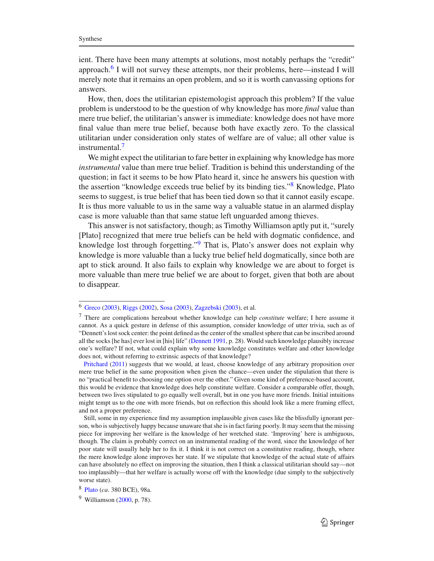ient. There have been many attempts at solutions, most notably perhaps the "credit" approach. $6$  I will not survey these attempts, nor their problems, here—instead I will merely note that it remains an open problem, and so it is worth canvassing options for answers.

How, then, does the utilitarian epistemologist approach this problem? If the value problem is understood to be the question of why knowledge has more *final* value than mere true belief, the utilitarian's answer is immediate: knowledge does not have more final value than mere true belief, because both have exactly zero. To the classical utilitarian under consideration only states of welfare are of value; all other value is instrumental.<sup>7</sup>

We might expect the utilitarian to fare better in explaining why knowledge has more *instrumental* value than mere true belief. Tradition is behind this understanding of the question; in fact it seems to be how Plato heard it, since he answers his question with the assertion "knowledge exceeds true belief by its binding ties."<sup>8</sup> Knowledge, Plato seems to suggest, is true belief that has been tied down so that it cannot easily escape. It is thus more valuable to us in the same way a valuable statue in an alarmed display case is more valuable than that same statue left unguarded among thieves.

This answer is not satisfactory, though; as Timothy Williamson aptly put it, "surely [Plato] recognized that mere true beliefs can be held with dogmatic confidence, and knowledge lost through forgetting."<sup>9</sup> That is, Plato's answer does not explain why knowledge is more valuable than a lucky true belief held dogmatically, since both are apt to stick around. It also fails to explain why knowledge we are about to forget is more valuable than mere true belief we are about to forget, given that both are about to disappear.

<sup>6</sup> Greco (2003), Riggs (2002), Sosa (2003), Zagzebski (2003), et al.

<sup>7</sup> There are complications hereabout whether knowledge can help *constitute* welfare; I here assume it cannot. As a quick gesture in defense of this assumption, consider knowledge of utter trivia, such as of "Dennett's lost sock center: the point defined as the center of the smallest sphere that can be inscribed around all the socks [he has] ever lost in [his] life" (Dennett 1991, p. 28). Would such knowledge plausibly increase one's welfare? If not, what could explain why some knowledge constitutes welfare and other knowledge does not, without referring to extrinsic aspects of that knowledge?

Pritchard (2011) suggests that we would, at least, choose knowledge of any arbitrary proposition over mere true belief in the same proposition when given the chance—even under the stipulation that there is no "practical benefit to choosing one option over the other." Given some kind of preference-based account, this would be evidence that knowledge does help constitute welfare. Consider a comparable offer, though, between two lives stipulated to go equally well overall, but in one you have more friends. Initial intuitions might tempt us to the one with more friends, but on reflection this should look like a mere framing effect, and not a proper preference.

Still, some in my experience find my assumption implausible given cases like the blissfully ignorant person, who is subjectively happy because unaware that she is in fact faring poorly. It may seem that the missing piece for improving her welfare is the knowledge of her wretched state. 'Improving' here is ambiguous, though. The claim is probably correct on an instrumental reading of the word, since the knowledge of her poor state will usually help her to fix it. I think it is not correct on a constitutive reading, though, where the mere knowledge alone improves her state. If we stipulate that knowledge of the actual state of affairs can have absolutely no effect on improving the situation, then I think a classical utilitarian should say—not too implausibly—that her welfare is actually worse off with the knowledge (due simply to the subjectively worse state).

<sup>8</sup> Plato (*ca*. 380 BCE), 98a.

<sup>9</sup> Williamson (2000, p. 78).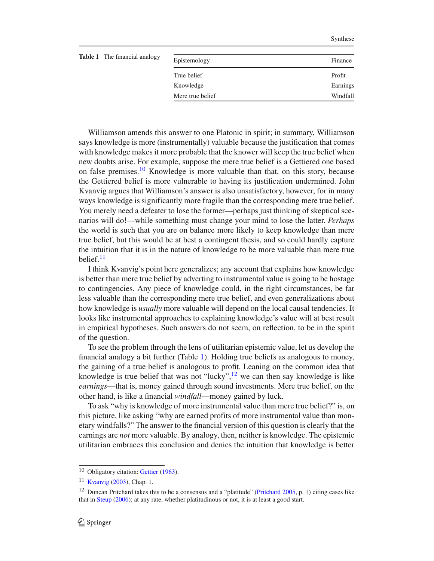| <b>Table 1</b> The financial analogy | Epistemology     | Finance  |
|--------------------------------------|------------------|----------|
|                                      | True belief      | Profit   |
|                                      | Knowledge        | Earnings |
|                                      | Mere true belief | Windfall |

Williamson amends this answer to one Platonic in spirit; in summary, Williamson says knowledge is more (instrumentally) valuable because the justification that comes with knowledge makes it more probable that the knower will keep the true belief when new doubts arise. For example, suppose the mere true belief is a Gettiered one based on false premises.<sup>10</sup> Knowledge is more valuable than that, on this story, because the Gettiered belief is more vulnerable to having its justification undermined. John Kvanvig argues that Williamson's answer is also unsatisfactory, however, for in many ways knowledge is significantly more fragile than the corresponding mere true belief. You merely need a defeater to lose the former—perhaps just thinking of skeptical scenarios will do!—while something must change your mind to lose the latter. *Perhaps* the world is such that you are on balance more likely to keep knowledge than mere true belief, but this would be at best a contingent thesis, and so could hardly capture the intuition that it is in the nature of knowledge to be more valuable than mere true belief. $11$ 

I think Kvanvig's point here generalizes; any account that explains how knowledge is better than mere true belief by adverting to instrumental value is going to be hostage to contingencies. Any piece of knowledge could, in the right circumstances, be far less valuable than the corresponding mere true belief, and even generalizations about how knowledge is *usually* more valuable will depend on the local causal tendencies. It looks like instrumental approaches to explaining knowledge's value will at best result in empirical hypotheses. Such answers do not seem, on reflection, to be in the spirit of the question.

To see the problem through the lens of utilitarian epistemic value, let us develop the financial analogy a bit further (Table 1). Holding true beliefs as analogous to money, the gaining of a true belief is analogous to profit. Leaning on the common idea that knowledge is true belief that was not "lucky", $12$  we can then say knowledge is like *earnings*—that is, money gained through sound investments. Mere true belief, on the other hand, is like a financial *windfall*—money gained by luck.

To ask "why is knowledge of more instrumental value than mere true belief?" is, on this picture, like asking "why are earned profits of more instrumental value than monetary windfalls?" The answer to the financial version of this question is clearly that the earnings are *not* more valuable. By analogy, then, neither is knowledge. The epistemic utilitarian embraces this conclusion and denies the intuition that knowledge is better

<sup>&</sup>lt;sup>10</sup> Obligatory citation: Gettier (1963).

<sup>11</sup> Kvanvig (2003), Chap. 1.

<sup>&</sup>lt;sup>12</sup> Duncan Pritchard takes this to be a consensus and a "platitude" (Pritchard 2005, p. 1) citing cases like that in Steup (2006); at any rate, whether platitudinous or not, it is at least a good start.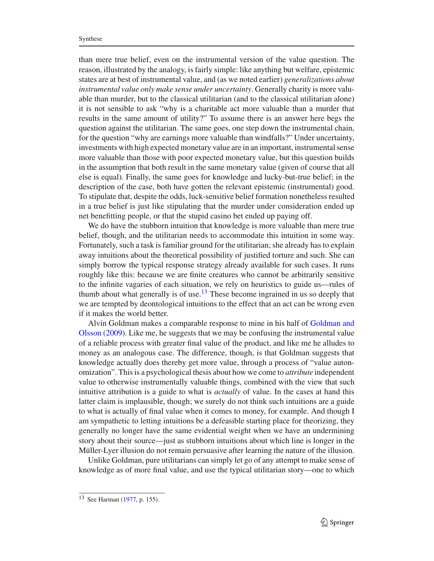than mere true belief, even on the instrumental version of the value question. The reason, illustrated by the analogy, is fairly simple: like anything but welfare, epistemic states are at best of instrumental value, and (as we noted earlier) *generalizations about instrumental value only make sense under uncertainty*. Generally charity is more valuable than murder, but to the classical utilitarian (and to the classical utilitarian alone) it is not sensible to ask "why is a charitable act more valuable than a murder that results in the same amount of utility?" To assume there is an answer here begs the question against the utilitarian. The same goes, one step down the instrumental chain, for the question "why are earnings more valuable than windfalls?" Under uncertainty, investments with high expected monetary value are in an important, instrumental sense more valuable than those with poor expected monetary value, but this question builds in the assumption that both result in the same monetary value (given of course that all else is equal). Finally, the same goes for knowledge and lucky-but-true belief; in the description of the case, both have gotten the relevant epistemic (instrumental) good. To stipulate that, despite the odds, luck-sensitive belief formation nonetheless resulted in a true belief is just like stipulating that the murder under consideration ended up net benefitting people, or that the stupid casino bet ended up paying off.

We do have the stubborn intuition that knowledge is more valuable than mere true belief, though, and the utilitarian needs to accommodate this intuition in some way. Fortunately, such a task is familiar ground for the utilitarian; she already has to explain away intuitions about the theoretical possibility of justified torture and such. She can simply borrow the typical response strategy already available for such cases. It runs roughly like this: because we are finite creatures who cannot be arbitrarily sensitive to the infinite vagaries of each situation, we rely on heuristics to guide us—rules of thumb about what generally is of use.<sup>13</sup> These become ingrained in us so deeply that we are tempted by deontological intuitions to the effect that an act can be wrong even if it makes the world better.

Alvin Goldman makes a comparable response to mine in his half of Goldman and Olsson (2009). Like me, he suggests that we may be confusing the instrumental value of a reliable process with greater final value of the product, and like me he alludes to money as an analogous case. The difference, though, is that Goldman suggests that knowledge actually does thereby get more value, through a process of "value autonomization". This is a psychological thesis about how we come to *attribute* independent value to otherwise instrumentally valuable things, combined with the view that such intuitive attribution is a guide to what is *actually* of value. In the cases at hand this latter claim is implausible, though; we surely do not think such intuitions are a guide to what is actually of final value when it comes to money, for example. And though I am sympathetic to letting intuitions be a defeasible starting place for theorizing, they generally no longer have the same evidential weight when we have an undermining story about their source—just as stubborn intuitions about which line is longer in the Müller-Lyer illusion do not remain persuasive after learning the nature of the illusion.

Unlike Goldman, pure utilitarians can simply let go of any attempt to make sense of knowledge as of more final value, and use the typical utilitarian story—one to which

<sup>13</sup> See Harman (1977, p. 155).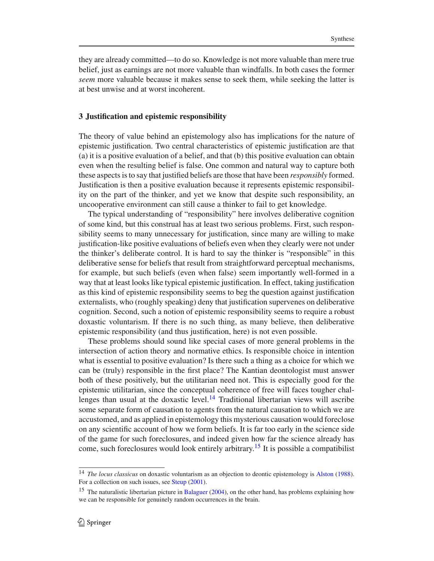they are already committed—to do so. Knowledge is not more valuable than mere true belief, just as earnings are not more valuable than windfalls. In both cases the former *seem* more valuable because it makes sense to seek them, while seeking the latter is at best unwise and at worst incoherent.

## **3 Justification and epistemic responsibility**

The theory of value behind an epistemology also has implications for the nature of epistemic justification. Two central characteristics of epistemic justification are that (a) it is a positive evaluation of a belief, and that (b) this positive evaluation can obtain even when the resulting belief is false. One common and natural way to capture both these aspects is to say that justified beliefs are those that have been *responsibly* formed. Justification is then a positive evaluation because it represents epistemic responsibility on the part of the thinker, and yet we know that despite such responsibility, an uncooperative environment can still cause a thinker to fail to get knowledge.

The typical understanding of "responsibility" here involves deliberative cognition of some kind, but this construal has at least two serious problems. First, such responsibility seems to many unnecessary for justification, since many are willing to make justification-like positive evaluations of beliefs even when they clearly were not under the thinker's deliberate control. It is hard to say the thinker is "responsible" in this deliberative sense for beliefs that result from straightforward perceptual mechanisms, for example, but such beliefs (even when false) seem importantly well-formed in a way that at least looks like typical epistemic justification. In effect, taking justification as this kind of epistemic responsibility seems to beg the question against justification externalists, who (roughly speaking) deny that justification supervenes on deliberative cognition. Second, such a notion of epistemic responsibility seems to require a robust doxastic voluntarism. If there is no such thing, as many believe, then deliberative epistemic responsibility (and thus justification, here) is not even possible.

These problems should sound like special cases of more general problems in the intersection of action theory and normative ethics. Is responsible choice in intention what is essential to positive evaluation? Is there such a thing as a choice for which we can be (truly) responsible in the first place? The Kantian deontologist must answer both of these positively, but the utilitarian need not. This is especially good for the epistemic utilitarian, since the conceptual coherence of free will faces tougher challenges than usual at the doxastic level. $14$  Traditional libertarian views will ascribe some separate form of causation to agents from the natural causation to which we are accustomed, and as applied in epistemology this mysterious causation would foreclose on any scientific account of how we form beliefs. It is far too early in the science side of the game for such foreclosures, and indeed given how far the science already has come, such foreclosures would look entirely arbitrary.<sup>15</sup> It is possible a compatibilist

<sup>&</sup>lt;sup>14</sup> *The locus classicus* on doxastic voluntarism as an objection to deontic epistemology is Alston (1988). For a collection on such issues, see Steup (2001).

<sup>&</sup>lt;sup>15</sup> The naturalistic libertarian picture in Balaguer (2004), on the other hand, has problems explaining how we can be responsible for genuinely random occurrences in the brain.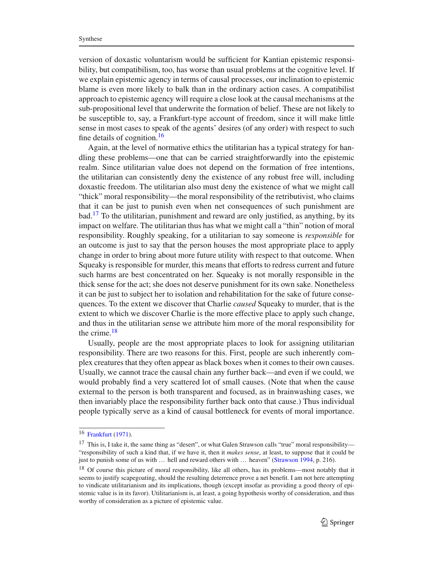version of doxastic voluntarism would be sufficient for Kantian epistemic responsibility, but compatibilism, too, has worse than usual problems at the cognitive level. If we explain epistemic agency in terms of causal processes, our inclination to epistemic blame is even more likely to balk than in the ordinary action cases. A compatibilist approach to epistemic agency will require a close look at the causal mechanisms at the sub-propositional level that underwrite the formation of belief. These are not likely to be susceptible to, say, a Frankfurt-type account of freedom, since it will make little sense in most cases to speak of the agents' desires (of any order) with respect to such fine details of cognition.<sup>16</sup>

Again, at the level of normative ethics the utilitarian has a typical strategy for handling these problems—one that can be carried straightforwardly into the epistemic realm. Since utilitarian value does not depend on the formation of free intentions, the utilitarian can consistently deny the existence of any robust free will, including doxastic freedom. The utilitarian also must deny the existence of what we might call "thick" moral responsibility—the moral responsibility of the retributivist, who claims that it can be just to punish even when net consequences of such punishment are  $bad.17$  To the utilitarian, punishment and reward are only justified, as anything, by its impact on welfare. The utilitarian thus has what we might call a "thin" notion of moral responsibility. Roughly speaking, for a utilitarian to say someone is *responsible* for an outcome is just to say that the person houses the most appropriate place to apply change in order to bring about more future utility with respect to that outcome. When Squeaky is responsible for murder, this means that efforts to redress current and future such harms are best concentrated on her. Squeaky is not morally responsible in the thick sense for the act; she does not deserve punishment for its own sake. Nonetheless it can be just to subject her to isolation and rehabilitation for the sake of future consequences. To the extent we discover that Charlie *caused* Squeaky to murder, that is the extent to which we discover Charlie is the more effective place to apply such change, and thus in the utilitarian sense we attribute him more of the moral responsibility for the crime.<sup>18</sup>

Usually, people are the most appropriate places to look for assigning utilitarian responsibility. There are two reasons for this. First, people are such inherently complex creatures that they often appear as black boxes when it comes to their own causes. Usually, we cannot trace the causal chain any further back—and even if we could, we would probably find a very scattered lot of small causes. (Note that when the cause external to the person is both transparent and focused, as in brainwashing cases, we then invariably place the responsibility further back onto that cause.) Thus individual people typically serve as a kind of causal bottleneck for events of moral importance.

<sup>16</sup> Frankfurt (1971).

<sup>&</sup>lt;sup>17</sup> This is, I take it, the same thing as "desert", or what Galen Strawson calls "true" moral responsibility-"responsibility of such a kind that, if we have it, then it *makes sense*, at least, to suppose that it could be just to punish some of us with … hell and reward others with … heaven" (Strawson 1994, p. 216).

<sup>18</sup> Of course this picture of moral responsibility, like all others, has its problems—most notably that it seems to justify scapegoating, should the resulting deterrence prove a net benefit. I am not here attempting to vindicate utilitarianism and its implications, though (except insofar as providing a good theory of epistemic value is in its favor). Utilitarianism is, at least, a going hypothesis worthy of consideration, and thus worthy of consideration as a picture of epistemic value.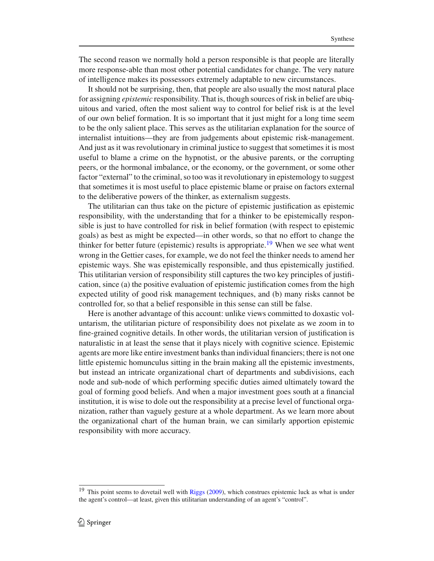The second reason we normally hold a person responsible is that people are literally more response-able than most other potential candidates for change. The very nature of intelligence makes its possessors extremely adaptable to new circumstances.

It should not be surprising, then, that people are also usually the most natural place for assigning *epistemic* responsibility. That is, though sources of risk in belief are ubiquitous and varied, often the most salient way to control for belief risk is at the level of our own belief formation. It is so important that it just might for a long time seem to be the only salient place. This serves as the utilitarian explanation for the source of internalist intuitions—they are from judgements about epistemic risk-management. And just as it was revolutionary in criminal justice to suggest that sometimes it is most useful to blame a crime on the hypnotist, or the abusive parents, or the corrupting peers, or the hormonal imbalance, or the economy, or the government, or some other factor "external" to the criminal, so too was it revolutionary in epistemology to suggest that sometimes it is most useful to place epistemic blame or praise on factors external to the deliberative powers of the thinker, as externalism suggests.

The utilitarian can thus take on the picture of epistemic justification as epistemic responsibility, with the understanding that for a thinker to be epistemically responsible is just to have controlled for risk in belief formation (with respect to epistemic goals) as best as might be expected—in other words, so that no effort to change the thinker for better future (epistemic) results is appropriate.<sup>19</sup> When we see what went wrong in the Gettier cases, for example, we do not feel the thinker needs to amend her epistemic ways. She was epistemically responsible, and thus epistemically justified. This utilitarian version of responsibility still captures the two key principles of justification, since (a) the positive evaluation of epistemic justification comes from the high expected utility of good risk management techniques, and (b) many risks cannot be controlled for, so that a belief responsible in this sense can still be false.

Here is another advantage of this account: unlike views committed to doxastic voluntarism, the utilitarian picture of responsibility does not pixelate as we zoom in to fine-grained cognitive details. In other words, the utilitarian version of justification is naturalistic in at least the sense that it plays nicely with cognitive science. Epistemic agents are more like entire investment banks than individual financiers; there is not one little epistemic homunculus sitting in the brain making all the epistemic investments, but instead an intricate organizational chart of departments and subdivisions, each node and sub-node of which performing specific duties aimed ultimately toward the goal of forming good beliefs. And when a major investment goes south at a financial institution, it is wise to dole out the responsibility at a precise level of functional organization, rather than vaguely gesture at a whole department. As we learn more about the organizational chart of the human brain, we can similarly apportion epistemic responsibility with more accuracy.

<sup>&</sup>lt;sup>19</sup> This point seems to dovetail well with Riggs (2009), which construes epistemic luck as what is under the agent's control—at least, given this utilitarian understanding of an agent's "control".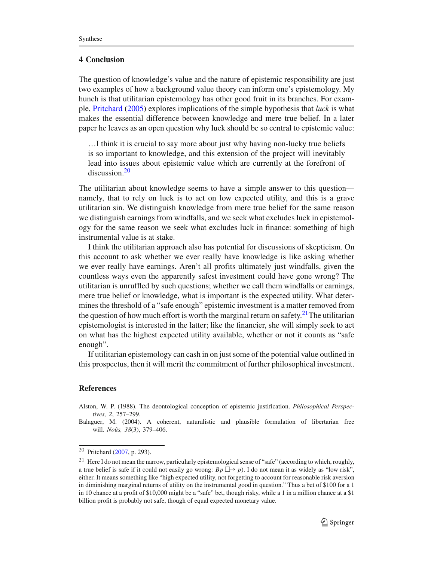## **4 Conclusion**

The question of knowledge's value and the nature of epistemic responsibility are just two examples of how a background value theory can inform one's epistemology. My hunch is that utilitarian epistemology has other good fruit in its branches. For example, Pritchard (2005) explores implications of the simple hypothesis that *luck* is what makes the essential difference between knowledge and mere true belief. In a later paper he leaves as an open question why luck should be so central to epistemic value:

…I think it is crucial to say more about just why having non-lucky true beliefs is so important to knowledge, and this extension of the project will inevitably lead into issues about epistemic value which are currently at the forefront of discussion.<sup>20</sup>

The utilitarian about knowledge seems to have a simple answer to this question namely, that to rely on luck is to act on low expected utility, and this is a grave utilitarian sin. We distinguish knowledge from mere true belief for the same reason we distinguish earnings from windfalls, and we seek what excludes luck in epistemology for the same reason we seek what excludes luck in finance: something of high instrumental value is at stake.

I think the utilitarian approach also has potential for discussions of skepticism. On this account to ask whether we ever really have knowledge is like asking whether we ever really have earnings. Aren't all profits ultimately just windfalls, given the countless ways even the apparently safest investment could have gone wrong? The utilitarian is unruffled by such questions; whether we call them windfalls or earnings, mere true belief or knowledge, what is important is the expected utility. What determines the threshold of a "safe enough" epistemic investment is a matter removed from the question of how much effort is worth the marginal return on safety.<sup>21</sup>The utilitarian epistemologist is interested in the latter; like the financier, she will simply seek to act on what has the highest expected utility available, whether or not it counts as "safe enough".

If utilitarian epistemology can cash in on just some of the potential value outlined in this prospectus, then it will merit the commitment of further philosophical investment.

## **References**

- Alston, W. P. (1988). The deontological conception of epistemic justification. *Philosophical Perspectives, 2*, 257–299.
- Balaguer, M. (2004). A coherent, naturalistic and plausible formulation of libertarian free will. *Noûs, 38*(3), 379–406.

<sup>20</sup> Pritchard (2007, p. 293).

<sup>&</sup>lt;sup>21</sup> Here I do not mean the narrow, particularly epistemological sense of "safe" (according to which, roughly, a true belief is safe if it could not easily go wrong:  $Bp \rightharpoonup p$ ). I do not mean it as widely as "low risk", either. It means something like "high expected utility, not forgetting to account for reasonable risk aversion in diminishing marginal returns of utility on the instrumental good in question." Thus a bet of \$100 for a 1 in 10 chance at a profit of \$10,000 might be a "safe" bet, though risky, while a 1 in a million chance at a \$1 billion profit is probably not safe, though of equal expected monetary value.